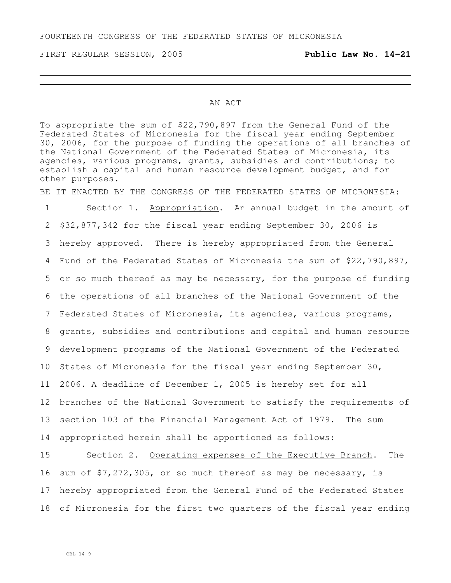#### AN ACT

To appropriate the sum of \$22,790,897 from the General Fund of the Federated States of Micronesia for the fiscal year ending September 30, 2006, for the purpose of funding the operations of all branches of the National Government of the Federated States of Micronesia, its agencies, various programs, grants, subsidies and contributions; to establish a capital and human resource development budget, and for other purposes.

BE IT ENACTED BY THE CONGRESS OF THE FEDERATED STATES OF MICRONESIA:

 Section 1. Appropriation. An annual budget in the amount of \$32,877,342 for the fiscal year ending September 30, 2006 is hereby approved. There is hereby appropriated from the General Fund of the Federated States of Micronesia the sum of \$22,790,897, or so much thereof as may be necessary, for the purpose of funding the operations of all branches of the National Government of the Federated States of Micronesia, its agencies, various programs, grants, subsidies and contributions and capital and human resource development programs of the National Government of the Federated States of Micronesia for the fiscal year ending September 30, 2006. A deadline of December 1, 2005 is hereby set for all branches of the National Government to satisfy the requirements of section 103 of the Financial Management Act of 1979. The sum appropriated herein shall be apportioned as follows:

15 Section 2. Operating expenses of the Executive Branch. The sum of \$7,272,305, or so much thereof as may be necessary, is hereby appropriated from the General Fund of the Federated States of Micronesia for the first two quarters of the fiscal year ending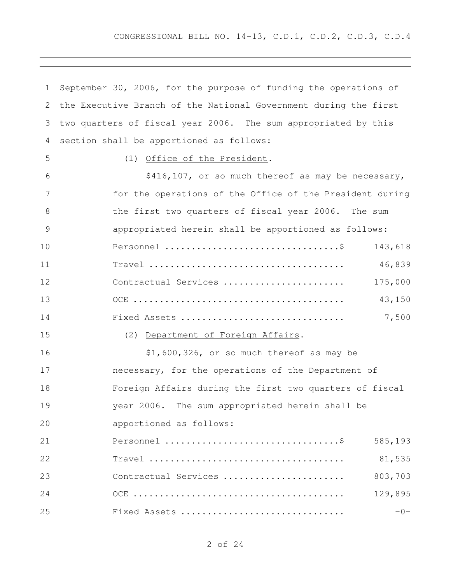| 1             | September 30, 2006, for the purpose of funding the operations of |
|---------------|------------------------------------------------------------------|
| 2             | the Executive Branch of the National Government during the first |
| 3             | two quarters of fiscal year 2006. The sum appropriated by this   |
| 4             | section shall be apportioned as follows:                         |
| 5             | Office of the President.<br>(1)                                  |
| 6             | \$416,107, or so much thereof as may be necessary,               |
| 7             | for the operations of the Office of the President during         |
| 8             | the first two quarters of fiscal year 2006. The sum              |
| $\mathcal{G}$ | appropriated herein shall be apportioned as follows:             |
| 10            | 143,618                                                          |
| 11            | 46,839                                                           |
| 12            | 175,000<br>Contractual Services                                  |
| 13            | 43,150                                                           |
| 14            | 7,500<br>Fixed Assets                                            |
| 15            | (2) Department of Foreign Affairs.                               |
| 16            | \$1,600,326, or so much thereof as may be                        |
| 17            | necessary, for the operations of the Department of               |
| 18            | Foreign Affairs during the first two quarters of fiscal          |
| 19            | year 2006. The sum appropriated herein shall be                  |
| 20            | apportioned as follows:                                          |
| 21            | 585,193                                                          |
| 22            | 81,535                                                           |
| 23            | 803,703<br>Contractual Services                                  |
| 24            | 129,895                                                          |
| 25            | $-0-$<br>Fixed Assets                                            |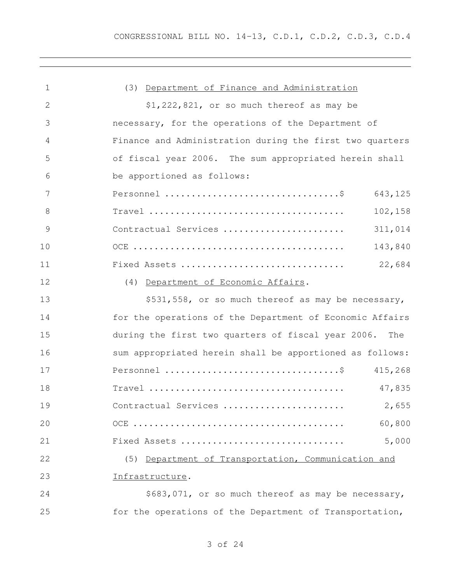| 1            | (3) Department of Finance and Administration              |
|--------------|-----------------------------------------------------------|
| $\mathbf{2}$ | $$1,222,821$ , or so much thereof as may be               |
| 3            | necessary, for the operations of the Department of        |
| 4            | Finance and Administration during the first two quarters  |
| 5            | of fiscal year 2006. The sum appropriated herein shall    |
| 6            | be apportioned as follows:                                |
| 7            | 643,125                                                   |
| 8            | 102,158                                                   |
| 9            | 311,014<br>Contractual Services                           |
| 10           | 143,840                                                   |
| 11           | 22,684<br>Fixed Assets                                    |
| 12           | (4) Department of Economic Affairs.                       |
| 13           | \$531,558, or so much thereof as may be necessary,        |
| 14           | for the operations of the Department of Economic Affairs  |
| 15           | during the first two quarters of fiscal year 2006.<br>The |
| 16           | sum appropriated herein shall be apportioned as follows:  |
| 17           |                                                           |
| 18           | 47,835                                                    |
| 19           |                                                           |
| 20           | 60,800                                                    |
| 21           | 5,000<br>Fixed Assets                                     |
| 22           | (5) Department of Transportation, Communication and       |
| 23           | Infrastructure.                                           |
| 24           | \$683,071, or so much thereof as may be necessary,        |
| 25           | for the operations of the Department of Transportation,   |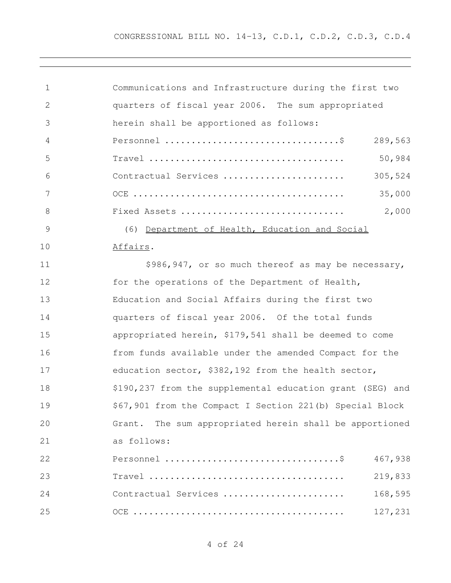| $\mathbf 1$   | Communications and Infrastructure during the first two    |
|---------------|-----------------------------------------------------------|
| $\mathbf{2}$  | quarters of fiscal year 2006. The sum appropriated        |
| 3             | herein shall be apportioned as follows:                   |
| 4             | 289,563                                                   |
| 5             | 50,984                                                    |
| 6             | 305,524<br>Contractual Services                           |
| 7             | 35,000                                                    |
| $\,8\,$       | 2,000<br>Fixed Assets                                     |
| $\mathcal{G}$ | (6) Department of Health, Education and Social            |
| 10            | Affairs.                                                  |
| 11            | \$986,947, or so much thereof as may be necessary,        |
| 12            | for the operations of the Department of Health,           |
| 13            | Education and Social Affairs during the first two         |
| 14            | quarters of fiscal year 2006. Of the total funds          |
| 15            | appropriated herein, \$179,541 shall be deemed to come    |
| 16            | from funds available under the amended Compact for the    |
| 17            | education sector, \$382,192 from the health sector,       |
| 18            | \$190,237 from the supplemental education grant (SEG) and |
| 19            | \$67,901 from the Compact I Section 221(b) Special Block  |
| 20            | Grant. The sum appropriated herein shall be apportioned   |
| 21            | as follows:                                               |
| 22            | 467,938                                                   |
| 23            | 219,833                                                   |
| 24            | 168,595<br>Contractual Services                           |
| 25            | 127,231                                                   |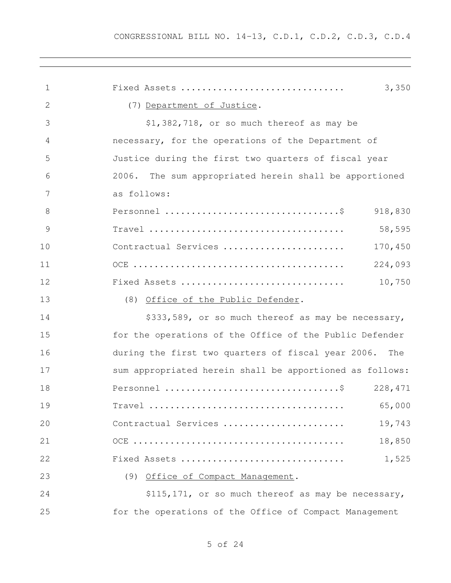| 1            | Fixed Assets<br>3,350                                     |
|--------------|-----------------------------------------------------------|
| $\mathbf{2}$ | (7) Department of Justice.                                |
| 3            | \$1,382,718, or so much thereof as may be                 |
| 4            | necessary, for the operations of the Department of        |
| 5            | Justice during the first two quarters of fiscal year      |
| 6            | 2006.<br>The sum appropriated herein shall be apportioned |
| 7            | as follows:                                               |
| 8            | 918,830                                                   |
| 9            | 58,595                                                    |
| 10           | Contractual Services<br>170,450                           |
| 11           | 224,093                                                   |
| 12           | 10,750<br>Fixed Assets                                    |
| 13           | (8)<br>Office of the Public Defender.                     |
| 14           | \$333,589, or so much thereof as may be necessary,        |
| 15           | for the operations of the Office of the Public Defender   |
| 16           | during the first two quarters of fiscal year 2006.<br>The |
| 17           | sum appropriated herein shall be apportioned as follows:  |
| 18           | 228, 471                                                  |
| 19           | 65,000<br>$Travel$                                        |
| 20           | 19,743<br>Contractual Services                            |
| 21           | 18,850                                                    |
| 22           | 1,525<br>Fixed Assets                                     |
| 23           | (9) Office of Compact Management.                         |
| 24           | \$115,171, or so much thereof as may be necessary,        |
| 25           | for the operations of the Office of Compact Management    |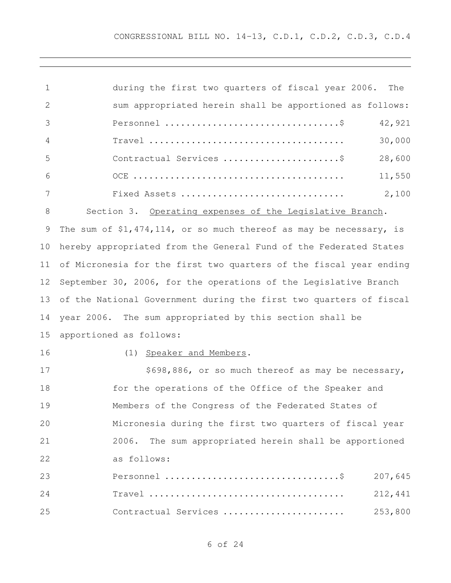| 1  | during the first two quarters of fiscal year 2006.<br>The            |
|----|----------------------------------------------------------------------|
| 2  | sum appropriated herein shall be apportioned as follows:             |
| 3  | 42,921                                                               |
| 4  | 30,000                                                               |
| 5  | 28,600                                                               |
| 6  | 11,550                                                               |
| 7  | 2,100<br>Fixed Assets                                                |
| 8  | Section 3. Operating expenses of the Legislative Branch.             |
| 9  | The sum of $$1,474,114$ , or so much thereof as may be necessary, is |
| 10 | hereby appropriated from the General Fund of the Federated States    |
| 11 | of Micronesia for the first two quarters of the fiscal year ending   |
| 12 | September 30, 2006, for the operations of the Legislative Branch     |
| 13 | of the National Government during the first two quarters of fiscal   |
| 14 | year 2006. The sum appropriated by this section shall be             |
| 15 | apportioned as follows:                                              |
| 16 | (1) Speaker and Members.                                             |
| 17 | \$698,886, or so much thereof as may be necessary,                   |
| 18 | for the operations of the Office of the Speaker and                  |
| 19 | Members of the Congress of the Federated States of                   |
| 20 | Micronesia during the first two quarters of fiscal year              |
| 21 | The sum appropriated herein shall be apportioned<br>2006.            |

as follows:

| 23  |                      |         |
|-----|----------------------|---------|
| 2.4 |                      |         |
| 2.5 | Contractual Services | 253,800 |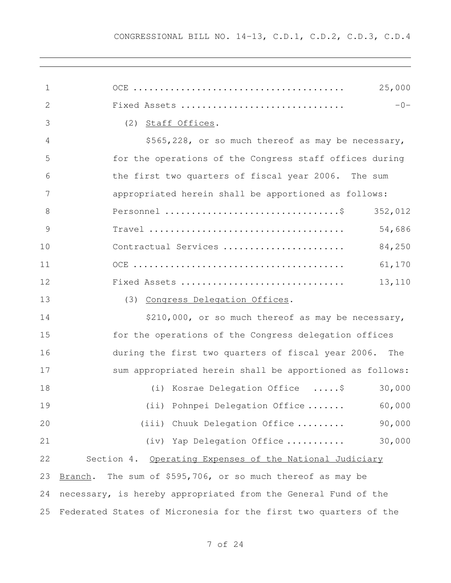| 1  | 25,000                                                                |
|----|-----------------------------------------------------------------------|
| 2  | Fixed Assets<br>$-0-$                                                 |
| 3  | (2)<br>Staff Offices.                                                 |
| 4  | \$565,228, or so much thereof as may be necessary,                    |
| 5  | for the operations of the Congress staff offices during               |
| 6  | the first two quarters of fiscal year 2006. The sum                   |
| 7  | appropriated herein shall be apportioned as follows:                  |
| 8  | 352,012                                                               |
| 9  | 54,686                                                                |
| 10 | 84,250<br>Contractual Services                                        |
| 11 | 61,170                                                                |
| 12 | Fixed Assets<br>13,110                                                |
| 13 | (3) Congress Delegation Offices.                                      |
| 14 | \$210,000, or so much thereof as may be necessary,                    |
| 15 | for the operations of the Congress delegation offices                 |
| 16 | during the first two quarters of fiscal year 2006.<br>The             |
| 17 | sum appropriated herein shall be apportioned as follows:              |
| 18 | (i) Kosrae Delegation Office \$<br>30,000                             |
| 19 | (ii) Pohnpei Delegation Office  60,000                                |
| 20 | 90,000<br>(iii) Chuuk Delegation Office                               |
| 21 | 30,000<br>(iv) Yap Delegation Office                                  |
| 22 | Section 4. Operating Expenses of the National Judiciary               |
| 23 | The sum of \$595,706, or so much thereof as may be<br><u>Branch</u> . |
| 24 | necessary, is hereby appropriated from the General Fund of the        |
| 25 | Federated States of Micronesia for the first two quarters of the      |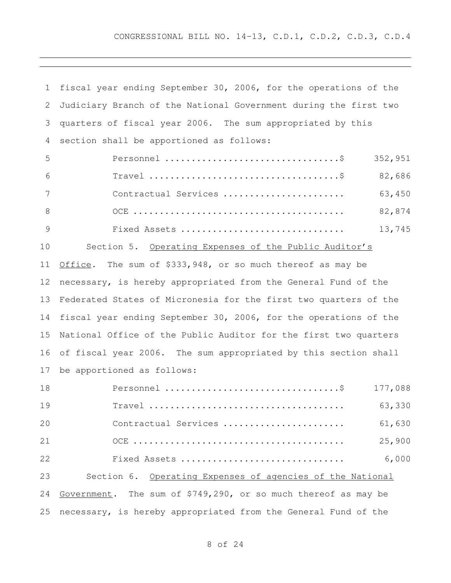CONGRESSIONAL BILL NO. 14-13, C.D.1, C.D.2, C.D.3, C.D.4

| $\mathbf 1$   | fiscal year ending September 30, 2006, for the operations of the |
|---------------|------------------------------------------------------------------|
| 2             | Judiciary Branch of the National Government during the first two |
| 3             | quarters of fiscal year 2006. The sum appropriated by this       |
| 4             | section shall be apportioned as follows:                         |
| 5             | 352,951                                                          |
| 6             | 82,686                                                           |
| 7             | 63,450<br>Contractual Services                                   |
| 8             | 82,874                                                           |
| $\mathcal{G}$ | 13,745<br>Fixed Assets                                           |
| 10            | Section 5. Operating Expenses of the Public Auditor's            |
| 11            | Office. The sum of \$333,948, or so much thereof as may be       |
| 12            | necessary, is hereby appropriated from the General Fund of the   |
| 13            | Federated States of Micronesia for the first two quarters of the |
| 14            | fiscal year ending September 30, 2006, for the operations of the |
| 15            | National Office of the Public Auditor for the first two quarters |
| 16            | of fiscal year 2006. The sum appropriated by this section shall  |
| 17            | be apportioned as follows:                                       |
| 18            | 177,088                                                          |
| 19            | 63,330                                                           |
| 20            | Contractual Services<br>61,630                                   |
| 21            | 25,900                                                           |
| 22            | 6,000<br>Fixed Assets                                            |
| 23            | Section 6. Operating Expenses of agencies of the National        |
| 24            | Government. The sum of \$749,290, or so much thereof as may be   |
| 25            | necessary, is hereby appropriated from the General Fund of the   |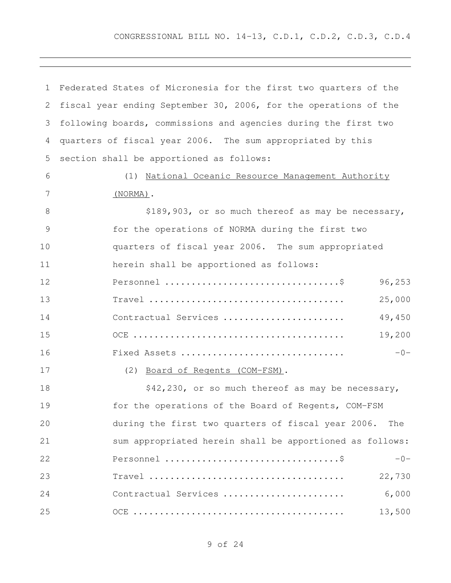| 1             | Federated States of Micronesia for the first two quarters of the                                 |
|---------------|--------------------------------------------------------------------------------------------------|
| 2             | fiscal year ending September 30, 2006, for the operations of the                                 |
| 3             | following boards, commissions and agencies during the first two                                  |
| 4             | quarters of fiscal year 2006. The sum appropriated by this                                       |
| 5             | section shall be apportioned as follows:                                                         |
| 6             | (1) National Oceanic Resource Management Authority                                               |
| 7             | $(NORMA)$ .                                                                                      |
| 8             | \$189,903, or so much thereof as may be necessary,                                               |
| $\mathcal{G}$ | for the operations of NORMA during the first two                                                 |
| 10            | quarters of fiscal year 2006. The sum appropriated                                               |
| 11            | herein shall be apportioned as follows:                                                          |
| 12            | 96,253                                                                                           |
| 13            | 25,000                                                                                           |
| 14            | 49,450<br>Contractual Services                                                                   |
| 15            | 19,200                                                                                           |
| 16            | Fixed Assets<br>$-0-$                                                                            |
| 17            | (2) Board of Regents (COM-FSM).                                                                  |
| 18            | \$42,230, or so much thereof as may be necessary,                                                |
| 19            | for the operations of the Board of Regents, COM-FSM                                              |
| 20            | during the first two quarters of fiscal year 2006.<br>The                                        |
| 21            | sum appropriated herein shall be apportioned as follows:                                         |
| 22            | $-0-$                                                                                            |
| 23            | 22,730<br>$Travel \dots \dots \dots \dots \dots \dots \dots \dots \dots \dots \dots \dots \dots$ |
| 24            | 6,000<br>Contractual Services                                                                    |
| 25            | 13,500                                                                                           |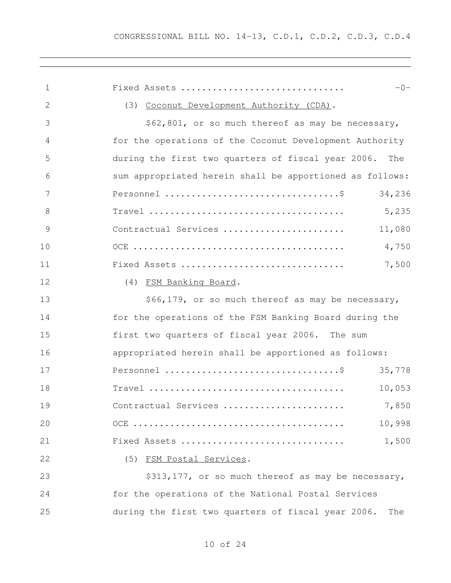| 1  | $-0-$<br>Fixed Assets                                     |
|----|-----------------------------------------------------------|
| 2  | (3) Coconut Development Authority (CDA).                  |
| 3  | \$62,801, or so much thereof as may be necessary,         |
| 4  | for the operations of the Coconut Development Authority   |
| 5  | during the first two quarters of fiscal year 2006.<br>The |
| 6  | sum appropriated herein shall be apportioned as follows:  |
| 7  | 34,236                                                    |
| 8  | 5,235                                                     |
| 9  | 11,080<br>Contractual Services                            |
| 10 | 4,750                                                     |
| 11 | 7,500<br>Fixed Assets                                     |
| 12 | (4) FSM Banking Board.                                    |
| 13 | \$66,179, or so much thereof as may be necessary,         |
| 14 | for the operations of the FSM Banking Board during the    |
| 15 | first two quarters of fiscal year 2006. The sum           |
| 16 | appropriated herein shall be apportioned as follows:      |
| 17 | 35,778                                                    |
| 18 | 10,053                                                    |
| 19 |                                                           |
| 20 | 10,998                                                    |
| 21 | 1,500<br>Fixed Assets                                     |
| 22 | (5) FSM Postal Services.                                  |
| 23 | \$313,177, or so much thereof as may be necessary,        |
| 24 | for the operations of the National Postal Services        |
| 25 | during the first two quarters of fiscal year 2006.<br>The |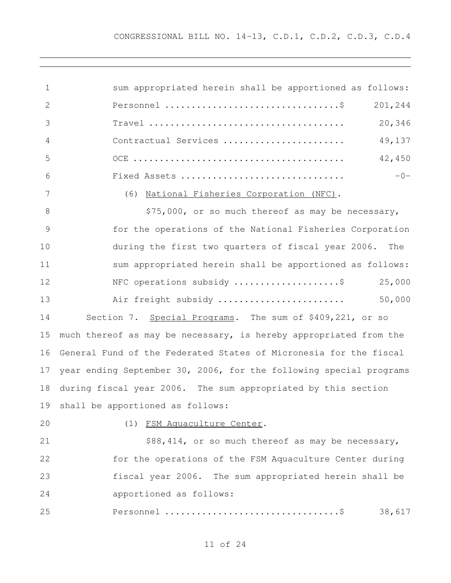| 1            | sum appropriated herein shall be apportioned as follows:                                         |
|--------------|--------------------------------------------------------------------------------------------------|
| $\mathbf{2}$ | 201,244                                                                                          |
| 3            | 20,346<br>$Travel \dots \dots \dots \dots \dots \dots \dots \dots \dots \dots \dots \dots \dots$ |
| 4            | 49,137<br>Contractual Services                                                                   |
| 5            | 42,450                                                                                           |
| 6            | $-0-$<br>Fixed Assets                                                                            |
| 7            | (6) National Fisheries Corporation (NFC).                                                        |
| 8            | \$75,000, or so much thereof as may be necessary,                                                |
| 9            | for the operations of the National Fisheries Corporation                                         |
| 10           | during the first two quarters of fiscal year 2006. The                                           |
| 11           | sum appropriated herein shall be apportioned as follows:                                         |
| 12           | 25,000<br>NFC operations subsidy \$                                                              |
| 13           | 50,000<br>Air freight subsidy                                                                    |
| 14           | Section 7. Special Programs. The sum of \$409,221, or so                                         |
| 15           | much thereof as may be necessary, is hereby appropriated from the                                |
| 16           | General Fund of the Federated States of Micronesia for the fiscal                                |
| 17           | year ending September 30, 2006, for the following special programs                               |
| 18           | during fiscal year 2006. The sum appropriated by this section                                    |
|              | 19 shall be apportioned as follows:                                                              |
| 20           | (1) FSM Aquaculture Center.                                                                      |
| 21           | \$88,414, or so much thereof as may be necessary,                                                |
| 22           | for the operations of the FSM Aquaculture Center during                                          |
| 23           | fiscal year 2006. The sum appropriated herein shall be                                           |
| 24           | apportioned as follows:                                                                          |
| 25           | 38,617                                                                                           |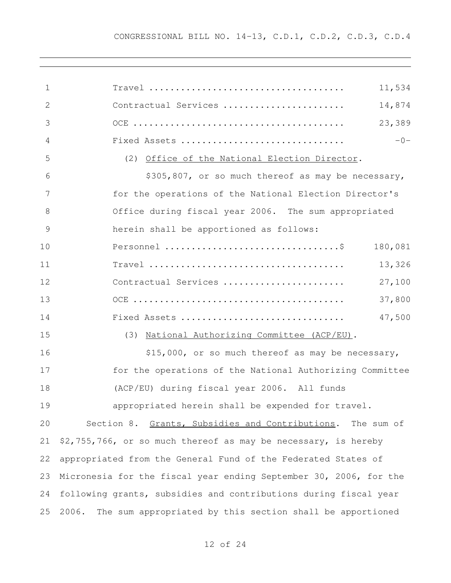| $\mathbf{1}$ | 11,534                                                             |
|--------------|--------------------------------------------------------------------|
| 2            | 14,874<br>Contractual Services                                     |
| 3            | 23,389                                                             |
| 4            | $-0-$<br>Fixed Assets                                              |
| 5            | (2) Office of the National Election Director.                      |
| 6            | \$305,807, or so much thereof as may be necessary,                 |
| 7            | for the operations of the National Election Director's             |
| 8            | Office during fiscal year 2006. The sum appropriated               |
| 9            | herein shall be apportioned as follows:                            |
| 10           | 180,081                                                            |
| 11           | 13,326                                                             |
| 12           | 27,100<br>Contractual Services                                     |
| 13           | 37,800                                                             |
| 14           | 47,500<br>Fixed Assets                                             |
| 15           | (3) National Authorizing Committee (ACP/EU).                       |
| 16           | \$15,000, or so much thereof as may be necessary,                  |
| 17           | for the operations of the National Authorizing Committee           |
| 18           | (ACP/EU) during fiscal year 2006. All funds                        |
| 19           | appropriated herein shall be expended for travel.                  |
| 20           | Section 8. Grants, Subsidies and Contributions. The sum of         |
| 21           | \$2,755,766, or so much thereof as may be necessary, is hereby     |
| 22           | appropriated from the General Fund of the Federated States of      |
| 23           | Micronesia for the fiscal year ending September 30, 2006, for the  |
| 24           | following grants, subsidies and contributions during fiscal year   |
| 25           | 2006.<br>The sum appropriated by this section shall be apportioned |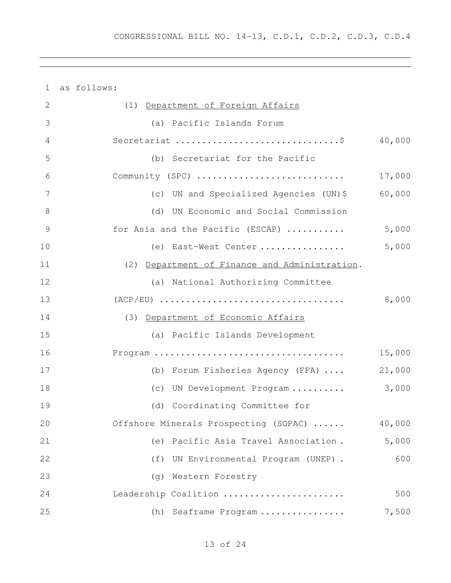| $\mathbf{1}$ | as follows:                                   |        |
|--------------|-----------------------------------------------|--------|
| 2            | (1) Department of Foreign Affairs             |        |
| 3            | (a) Pacific Islands Forum                     |        |
| 4            |                                               | 40,000 |
| 5            | (b) Secretariat for the Pacific               |        |
| 6            | Community (SPC)                               | 17,000 |
| 7            | (c) UN and Specialized Agencies (UN)\$        | 60,000 |
| 8            | (d) UN Economic and Social Commission         |        |
| 9            | for Asia and the Pacific (ESCAP)              | 5,000  |
| 10           | (e) East-West Center                          | 5,000  |
| 11           | (2) Department of Finance and Administration. |        |
| 12           | (a) National Authorizing Committee            |        |
| 13           |                                               | 8,000  |
| 14           | (3) Department of Economic Affairs            |        |
| 15           | (a) Pacific Islands Development               |        |
| 16           |                                               | 15,000 |
| 17           | (b) Forum Fisheries Agency (FFA)              | 21,000 |
| 18           | (c) UN Development Program                    | 3,000  |
| 19           | (d) Coordinating Committee for                |        |
| 20           | Offshore Minerals Prospecting (SOPAC)         | 40,000 |
| 21           | Pacific Asia Travel Association.<br>(e)       | 5,000  |
| 22           | UN Environmental Program (UNEP).<br>(f)       | 600    |
| 23           | Western Forestry<br>(g)                       |        |
| 24           | Leadership Coalition                          | 500    |
| 25           | (h)<br>Seaframe Program                       | 7,500  |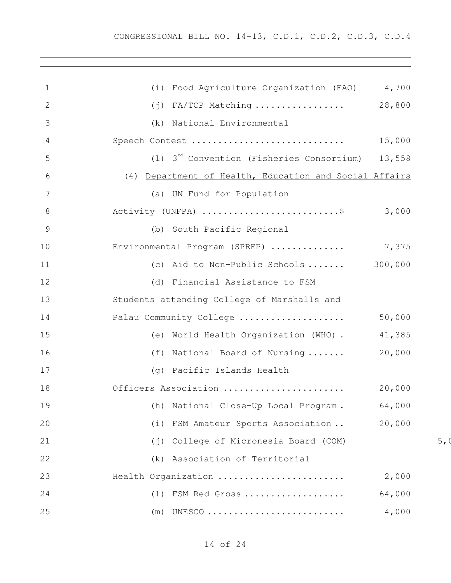| 1              | (i) Food Agriculture Organization (FAO) 4,700          |        |      |
|----------------|--------------------------------------------------------|--------|------|
| $\overline{2}$ | $(j)$ FA/TCP Matching  28,800                          |        |      |
| 3              | (k) National Environmental                             |        |      |
| 4              | Speech Contest                                         | 15,000 |      |
| 5              | (1) $3^{rd}$ Convention (Fisheries Consortium) 13,558  |        |      |
| 6              | (4) Department of Health, Education and Social Affairs |        |      |
| 7              | (a) UN Fund for Population                             |        |      |
| 8              | Activity (UNFPA) \$ 3,000                              |        |      |
| 9              | (b) South Pacific Regional                             |        |      |
| 10             | Environmental Program (SPREP)  7,375                   |        |      |
| 11             | (c) Aid to Non-Public Schools $300,000$                |        |      |
| 12             | (d) Financial Assistance to FSM                        |        |      |
| 13             | Students attending College of Marshalls and            |        |      |
| 14             | Palau Community College                                | 50,000 |      |
| 15             | (e) World Health Organization (WHO) . 41,385           |        |      |
| 16             | (f) National Board of Nursing                          | 20,000 |      |
| 17             | (g) Pacific Islands Health                             |        |      |
| 18             | Officers Association                                   | 20,000 |      |
| 19             | (h) National Close-Up Local Program. 64,000            |        |      |
| 20             | (i) FSM Amateur Sports Association                     | 20,000 |      |
| 21             | (j) College of Micronesia Board (COM)                  |        | 5, ( |
| 22             | (k) Association of Territorial                         |        |      |
| 23             | Health Organization                                    | 2,000  |      |
| 24             | (1) FSM Red Gross                                      | 64,000 |      |
| 25             | (m)                                                    | 4,000  |      |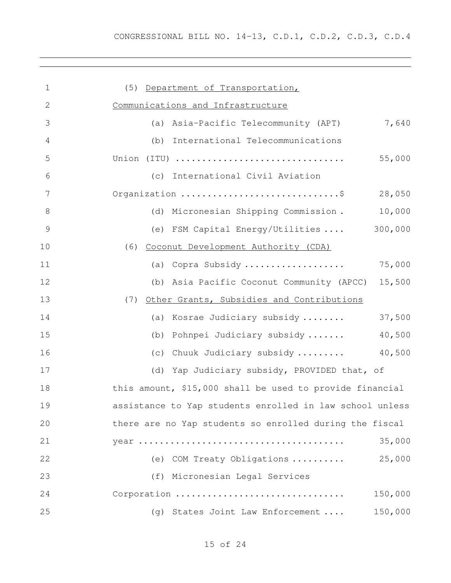| $\mathbf 1$ | (5) Department of Transportation,                        |
|-------------|----------------------------------------------------------|
| 2           | Communications and Infrastructure                        |
| 3           | 7,640<br>Asia-Pacific Telecommunity (APT)<br>(a)         |
| 4           | International Telecommunications<br>(b)                  |
| 5           | 55,000<br>Union (ITU)                                    |
| 6           | (c) International Civil Aviation                         |
| 7           | Organization \$<br>28,050                                |
| 8           | 10,000<br>(d) Micronesian Shipping Commission.           |
| 9           | (e) FSM Capital Energy/Utilities  300,000                |
| 10          | (6) Coconut Development Authority (CDA)                  |
| 11          | (a) Copra Subsidy<br>75,000                              |
| 12          | 15,500<br>(b) Asia Pacific Coconut Community (APCC)      |
| 13          | Other Grants, Subsidies and Contributions<br>(7)         |
| 14          | 37,500<br>Kosrae Judiciary subsidy<br>(a)                |
| 15          | 40,500<br>Pohnpei Judiciary subsidy<br>(b)               |
| 16          | Chuuk Judiciary subsidy  40,500<br>(C)                   |
| 17          | (d) Yap Judiciary subsidy, PROVIDED that, of             |
| 18          | this amount, \$15,000 shall be used to provide financial |
| 19          | assistance to Yap students enrolled in law school unless |
| 20          | there are no Yap students so enrolled during the fiscal  |
| 21          | 35,000                                                   |
| 22          | 25,000<br>(e) COM Treaty Obligations                     |
| 23          | (f) Micronesian Legal Services                           |
| 24          | Corporation<br>150,000                                   |
| 25          | 150,000<br>(g) States Joint Law Enforcement              |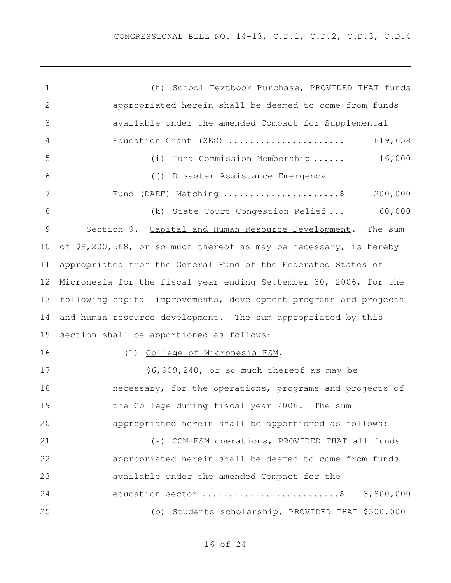(h) School Textbook Purchase, PROVIDED THAT funds appropriated herein shall be deemed to come from funds available under the amended Compact for Supplemental Education Grant (SEG) ...................... 619,658 (i) Tuna Commission Membership ...... 16,000 (j) Disaster Assistance Emergency Fund (DAEF) Matching ......................\$ 200,000 8 (k) State Court Congestion Relief ... 60,000 Section 9. Capital and Human Resource Development. The sum of \$9,200,568, or so much thereof as may be necessary, is hereby appropriated from the General Fund of the Federated States of Micronesia for the fiscal year ending September 30, 2006, for the following capital improvements, development programs and projects and human resource development. The sum appropriated by this section shall be apportioned as follows: (1) College of Micronesia-FSM. 17 \$6,909,240, or so much thereof as may be necessary, for the operations, programs and projects of the College during fiscal year 2006. The sum appropriated herein shall be apportioned as follows: (a) COM-FSM operations, PROVIDED THAT all funds appropriated herein shall be deemed to come from funds available under the amended Compact for the 24 education sector ..............................\$ 3,800,000 (b) Students scholarship, PROVIDED THAT \$300,000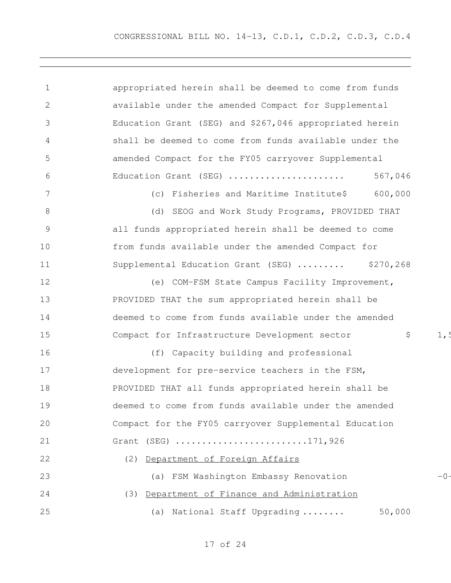| $\mathbf 1$     | appropriated herein shall be deemed to come from funds     |  |
|-----------------|------------------------------------------------------------|--|
| 2               | available under the amended Compact for Supplemental       |  |
| 3               | Education Grant (SEG) and \$267,046 appropriated herein    |  |
| 4               | shall be deemed to come from funds available under the     |  |
| 5               | amended Compact for the FY05 carryover Supplemental        |  |
| 6               | Education Grant (SEG)<br>567,046                           |  |
| $7\phantom{.0}$ | (c) Fisheries and Maritime Institute\$<br>600,000          |  |
| 8               | (d) SEOG and Work Study Programs, PROVIDED THAT            |  |
| $\mathcal{G}$   | all funds appropriated herein shall be deemed to come      |  |
| 10              | from funds available under the amended Compact for         |  |
| 11              | Supplemental Education Grant (SEG)<br>\$270,268            |  |
| 12              | (e) COM-FSM State Campus Facility Improvement,             |  |
| 13              | PROVIDED THAT the sum appropriated herein shall be         |  |
| 14              | deemed to come from funds available under the amended      |  |
| 15              | \$<br>Compact for Infrastructure Development sector<br>1,5 |  |
| 16              | (f) Capacity building and professional                     |  |
| 17              | development for pre-service teachers in the FSM,           |  |
| 18              | PROVIDED THAT all funds appropriated herein shall be       |  |
| 19              | deemed to come from funds available under the amended      |  |
| 20              | Compact for the FY05 carryover Supplemental Education      |  |
| 21              | Grant (SEG) 171,926                                        |  |
| 22              | Department of Foreign Affairs<br>(2)                       |  |
| 23              | (a) FSM Washington Embassy Renovation<br>$-0-$             |  |
| 24              | Department of Finance and Administration<br>(3)            |  |
| 25              | 50,000<br>(a) National Staff Upgrading                     |  |
|                 |                                                            |  |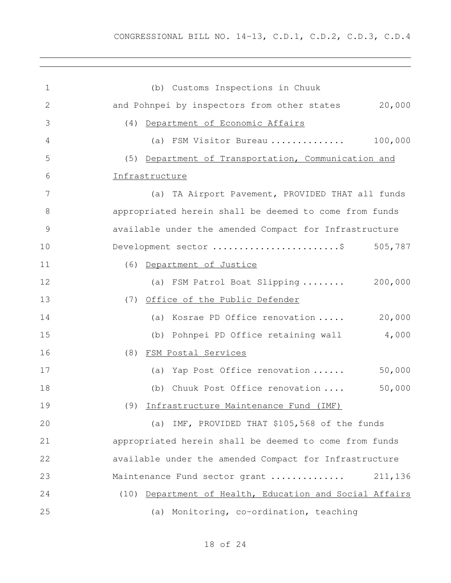(b) Customs Inspections in Chuuk and Pohnpei by inspectors from other states 20,000 (4) Department of Economic Affairs (a) FSM Visitor Bureau .............. 100,000 (5) Department of Transportation, Communication and Infrastructure (a) TA Airport Pavement, PROVIDED THAT all funds appropriated herein shall be deemed to come from funds available under the amended Compact for Infrastructure 10 Development sector ............................\$ 505,787 (6) Department of Justice 12 (a) FSM Patrol Boat Slipping ........ 200,000 (7) Office of the Public Defender 14 (a) Kosrae PD Office renovation ..... 20,000 (b) Pohnpei PD Office retaining wall 4,000 (8) FSM Postal Services 17 (a) Yap Post Office renovation ...... 50,000 (b) Chuuk Post Office renovation .... 50,000 (9) Infrastructure Maintenance Fund (IMF) (a) IMF, PROVIDED THAT \$105,568 of the funds appropriated herein shall be deemed to come from funds available under the amended Compact for Infrastructure Maintenance Fund sector grant .............. 211,136 (10) Department of Health, Education and Social Affairs (a) Monitoring, co-ordination, teaching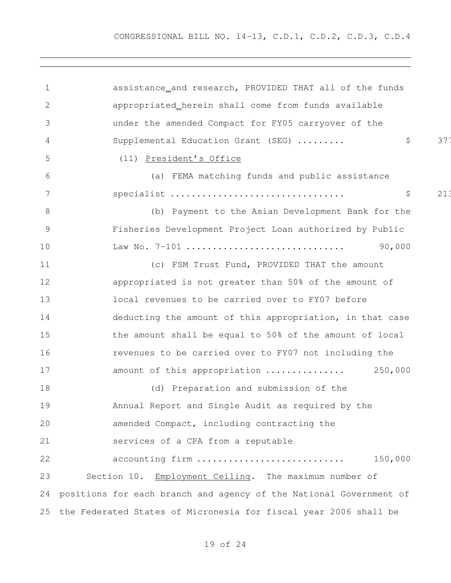CONGRESSIONAL BILL NO. 14-13, C.D.1, C.D.2, C.D.3, C.D.4

 assistance and research, PROVIDED THAT all of the funds appropriated herein shall come from funds available under the amended Compact for FY05 carryover of the 4 Supplemental Education Grant (SEG) ......... \$ \$ 377 (11) President's Office (a) FEMA matching funds and public assistance specialist ................................. \$ 213,319 (b) Payment to the Asian Development Bank for the Fisheries Development Project Loan authorized by Public Law No. 7-101 .............................. 90,000 (c) FSM Trust Fund, PROVIDED THAT the amount appropriated is not greater than 50% of the amount of local revenues to be carried over to FY07 before deducting the amount of this appropriation, in that case the amount shall be equal to 50% of the amount of local revenues to be carried over to FY07 not including the amount of this appropriation ............... 250,000 (d) Preparation and submission of the Annual Report and Single Audit as required by the amended Compact, including contracting the services of a CPA from a reputable accounting firm ............................ 150,000 23 Section 10. Employment Ceiling. The maximum number of positions for each branch and agency of the National Government of the Federated States of Micronesia for fiscal year 2006 shall be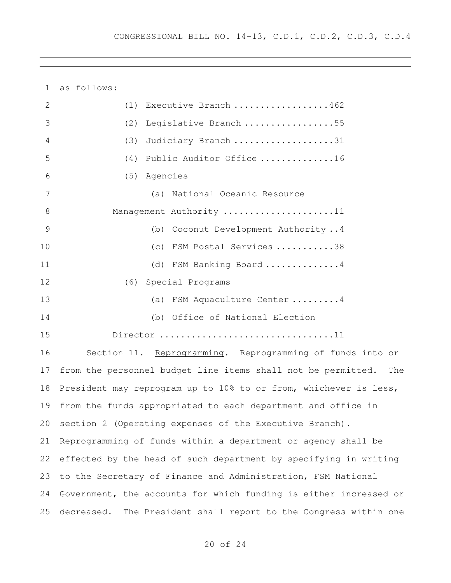as follows: (1) Executive Branch ..................462 (2) Legislative Branch .................55 (3) Judiciary Branch ...................31 (4) Public Auditor Office ..............16 (5) Agencies (a) National Oceanic Resource 8 Management Authority .....................11 (b) Coconut Development Authority ..4 (c) FSM Postal Services ...........38 11 (d) FSM Banking Board ..............4 (6) Special Programs (a) FSM Aquaculture Center .........4 (b) Office of National Election Director .................................11 Section 11. Reprogramming. Reprogramming of funds into or from the personnel budget line items shall not be permitted. The President may reprogram up to 10% to or from, whichever is less, from the funds appropriated to each department and office in section 2 (Operating expenses of the Executive Branch). Reprogramming of funds within a department or agency shall be effected by the head of such department by specifying in writing

 Government, the accounts for which funding is either increased or decreased. The President shall report to the Congress within one

to the Secretary of Finance and Administration, FSM National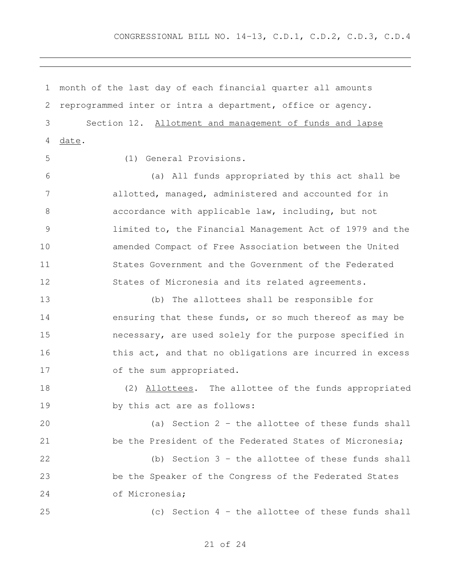month of the last day of each financial quarter all amounts reprogrammed inter or intra a department, office or agency. Section 12. Allotment and management of funds and lapse date. (1) General Provisions. (a) All funds appropriated by this act shall be allotted, managed, administered and accounted for in accordance with applicable law, including, but not limited to, the Financial Management Act of 1979 and the amended Compact of Free Association between the United

 States Government and the Government of the Federated States of Micronesia and its related agreements.

 (b) The allottees shall be responsible for ensuring that these funds, or so much thereof as may be necessary, are used solely for the purpose specified in 16 this act, and that no obligations are incurred in excess of the sum appropriated.

18 (2) Allottees. The allottee of the funds appropriated by this act are as follows:

 (a) Section 2 – the allottee of these funds shall be the President of the Federated States of Micronesia;

 (b) Section 3 – the allottee of these funds shall be the Speaker of the Congress of the Federated States of Micronesia;

(c) Section 4 – the allottee of these funds shall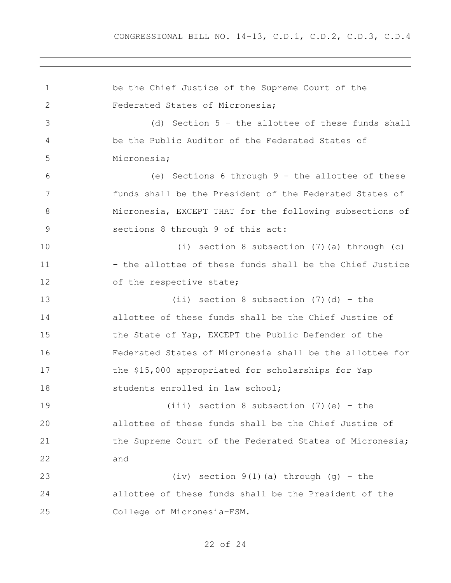be the Chief Justice of the Supreme Court of the Federated States of Micronesia; (d) Section 5 – the allottee of these funds shall be the Public Auditor of the Federated States of Micronesia; (e) Sections 6 through 9 – the allottee of these funds shall be the President of the Federated States of Micronesia, EXCEPT THAT for the following subsections of sections 8 through 9 of this act: (i) section 8 subsection (7)(a) through (c) – the allottee of these funds shall be the Chief Justice 12 of the respective state; (ii) section 8 subsection (7)(d) - the allottee of these funds shall be the Chief Justice of 15 the State of Yap, EXCEPT the Public Defender of the Federated States of Micronesia shall be the allottee for the \$15,000 appropriated for scholarships for Yap 18 students enrolled in law school; (iii) section 8 subsection (7)(e) – the allottee of these funds shall be the Chief Justice of 21 the Supreme Court of the Federated States of Micronesia; and (iv) section 9(1)(a) through (g) – the allottee of these funds shall be the President of the College of Micronesia-FSM.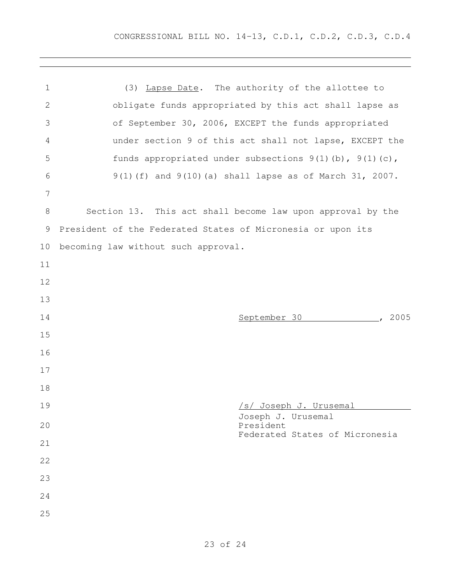| 1               | (3) Lapse Date. The authority of the allottee to             |
|-----------------|--------------------------------------------------------------|
| $\mathbf{2}$    | obligate funds appropriated by this act shall lapse as       |
| 3               | of September 30, 2006, EXCEPT the funds appropriated         |
| 4               | under section 9 of this act shall not lapse, EXCEPT the      |
| 5               | funds appropriated under subsections $9(1)$ (b), $9(1)$ (c), |
| 6               | 9(1)(f) and 9(10)(a) shall lapse as of March 31, 2007.       |
| $7\phantom{.0}$ |                                                              |
| 8               | Section 13. This act shall become law upon approval by the   |
| $\overline{9}$  | President of the Federated States of Micronesia or upon its  |
| 10              | becoming law without such approval.                          |
| 11              |                                                              |
| 12              |                                                              |
| 13              |                                                              |
| 14              | 2005<br>September 30                                         |
| 15              |                                                              |
| 16              |                                                              |
| 17              |                                                              |
| 18              |                                                              |
| 19              | <u>/s/ Joseph J. Urusemal</u>                                |
| 20              | Joseph J. Urusemal<br>President                              |
| 21              | Federated States of Micronesia                               |
| 22              |                                                              |
| 23              |                                                              |
| 24              |                                                              |
| 25              |                                                              |